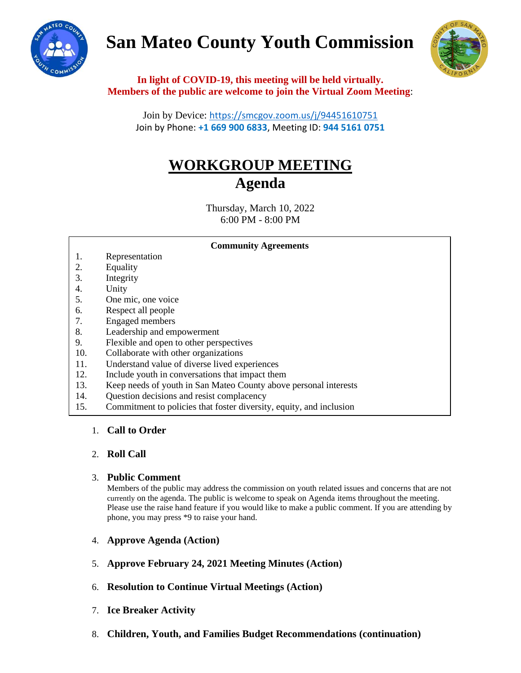# **San Mateo County Youth Commission**





**In light of COVID-19, this meeting will be held virtually. Members of the public are welcome to join the Virtual Zoom Meeting**:

Join by Device: <https://smcgov.zoom.us/j/94451610751> Join by Phone: **+1 669 900 6833**, Meeting ID: **944 5161 0751**

## **WORKGROUP MEETING Agenda**

Thursday, March 10, 2022 6:00 PM - 8:00 PM

#### **Community Agreements**

- 1. Representation
- 2. Equality
- 3. Integrity
- 4. Unity
- 5. One mic, one voice
- 6. Respect all people
- 7. Engaged members
- 8. Leadership and empowerment
- 9. Flexible and open to other perspectives
- 10. Collaborate with other organizations
- 11. Understand value of diverse lived experiences
- 12. Include youth in conversations that impact them
- 13. Keep needs of youth in San Mateo County above personal interests
- 14. Question decisions and resist complacency
- 15. Commitment to policies that foster diversity, equity, and inclusion

### 1. **Call to Order**

### 2. **Roll Call**

### 3. **Public Comment**

Members of the public may address the commission on youth related issues and concerns that are not currently on the agenda. The public is welcome to speak on Agenda items throughout the meeting. Please use the raise hand feature if you would like to make a public comment. If you are attending by phone, you may press \*9 to raise your hand.

- 4. **Approve Agenda (Action)**
- 5. **Approve February 24, 2021 Meeting Minutes (Action)**
- 6. **Resolution to Continue Virtual Meetings (Action)**
- 7. **Ice Breaker Activity**
- 8. **Children, Youth, and Families Budget Recommendations (continuation)**